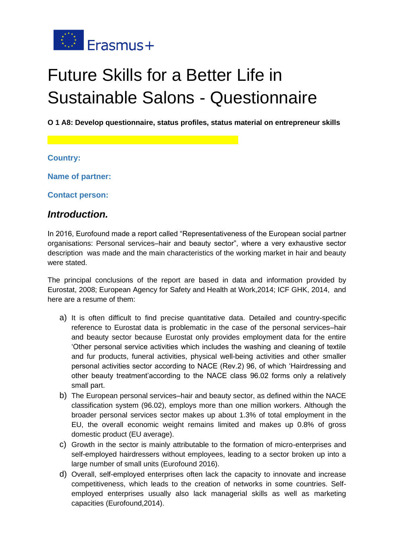

# Future Skills for a Better Life in Sustainable Salons - Questionnaire

**O 1 A8: Develop questionnaire, status profiles, status material on entrepreneur skills**

**Country:**

**Name of partner:**

**Contact person:**

## *Introduction.*

In 2016, Eurofound made a report called "Representativeness of the European social partner organisations: Personal services–hair and beauty sector", where a very exhaustive sector description was made and the main characteristics of the working market in hair and beauty were stated.

The principal conclusions of the report are based in data and information provided by Eurostat, 2008; European Agency for Safety and Health at Work,2014; ICF GHK, 2014, and here are a resume of them:

- a) It is often difficult to find precise quantitative data. Detailed and country-specific reference to Eurostat data is problematic in the case of the personal services–hair and beauty sector because Eurostat only provides employment data for the entire 'Other personal service activities which includes the washing and cleaning of textile and fur products, funeral activities, physical well-being activities and other smaller personal activities sector according to NACE (Rev.2) 96, of which 'Hairdressing and other beauty treatment'according to the NACE class 96.02 forms only a relatively small part.
- b) The European personal services–hair and beauty sector, as defined within the NACE classification system (96.02), employs more than one million workers. Although the broader personal services sector makes up about 1.3% of total employment in the EU, the overall economic weight remains limited and makes up 0.8% of gross domestic product (EU average).
- c) Growth in the sector is mainly attributable to the formation of micro-enterprises and self-employed hairdressers without employees, leading to a sector broken up into a large number of small units (Eurofound 2016).
- d) Overall, self-employed enterprises often lack the capacity to innovate and increase competitiveness, which leads to the creation of networks in some countries. Selfemployed enterprises usually also lack managerial skills as well as marketing capacities (Eurofound,2014).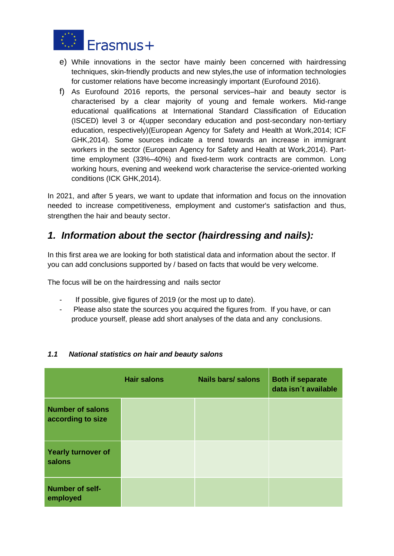

- e) While innovations in the sector have mainly been concerned with hairdressing techniques, skin-friendly products and new styles,the use of information technologies for customer relations have become increasingly important (Eurofound 2016).
- f) As Eurofound 2016 reports, the personal services–hair and beauty sector is characterised by a clear majority of young and female workers. Mid-range educational qualifications at International Standard Classification of Education (ISCED) level 3 or 4(upper secondary education and post-secondary non-tertiary education, respectively)(European Agency for Safety and Health at Work,2014; ICF GHK,2014). Some sources indicate a trend towards an increase in immigrant workers in the sector (European Agency for Safety and Health at Work,2014). Parttime employment (33%–40%) and fixed-term work contracts are common. Long working hours, evening and weekend work characterise the service-oriented working conditions (ICK GHK,2014).

In 2021, and after 5 years, we want to update that information and focus on the innovation needed to increase competitiveness, employment and customer's satisfaction and thus, strengthen the hair and beauty sector.

## *1. Information about the sector (hairdressing and nails):*

In this first area we are looking for both statistical data and information about the sector. If you can add conclusions supported by / based on facts that would be very welcome.

The focus will be on the hairdressing and nails sector

- If possible, give figures of 2019 (or the most up to date).
- Please also state the sources you acquired the figures from. If you have, or can produce yourself, please add short analyses of the data and any conclusions.

|                                              | <b>Hair salons</b> | <b>Nails bars/ salons</b> | <b>Both if separate</b><br>data isn't available |
|----------------------------------------------|--------------------|---------------------------|-------------------------------------------------|
| <b>Number of salons</b><br>according to size |                    |                           |                                                 |
| <b>Yearly turnover of</b><br>salons          |                    |                           |                                                 |
| <b>Number of self-</b><br>employed           |                    |                           |                                                 |

#### *1.1 National statistics on hair and beauty salons*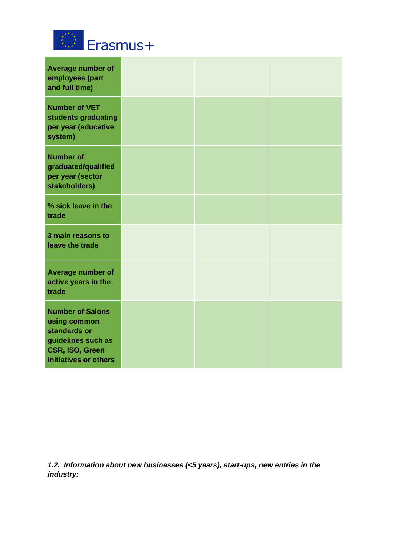

| Average number of<br>employees (part<br>and full time)                                                                    |  |  |
|---------------------------------------------------------------------------------------------------------------------------|--|--|
| <b>Number of VET</b><br>students graduating<br>per year (educative<br>system)                                             |  |  |
| <b>Number of</b><br>graduated/qualified<br>per year (sector<br>stakeholders)                                              |  |  |
| % sick leave in the<br>trade                                                                                              |  |  |
| 3 main reasons to<br>leave the trade                                                                                      |  |  |
| Average number of<br>active years in the<br>trade                                                                         |  |  |
| <b>Number of Salons</b><br>using common<br>standards or<br>guidelines such as<br>CSR, ISO, Green<br>initiatives or others |  |  |

*1.2. Information about new businesses (<5 years), start-ups, new entries in the industry:*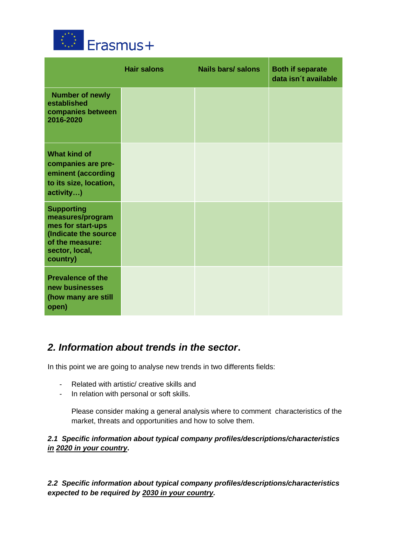

|                                                                                                                                     | <b>Hair salons</b> | <b>Nails bars/ salons</b> | <b>Both if separate</b><br>data isn't available |
|-------------------------------------------------------------------------------------------------------------------------------------|--------------------|---------------------------|-------------------------------------------------|
| <b>Number of newly</b><br>established<br>companies between<br>2016-2020                                                             |                    |                           |                                                 |
| <b>What kind of</b><br>companies are pre-<br>eminent (according<br>to its size, location,<br>activity)                              |                    |                           |                                                 |
| <b>Supporting</b><br>measures/program<br>mes for start-ups<br>(Indicate the source<br>of the measure:<br>sector, local,<br>country) |                    |                           |                                                 |
| <b>Prevalence of the</b><br>new businesses<br>(how many are still<br>open)                                                          |                    |                           |                                                 |

# *2. Information about trends in the sector***.**

In this point we are going to analyse new trends in two differents fields:

- Related with artistic/ creative skills and
- In relation with personal or soft skills.

Please consider making a general analysis where to comment characteristics of the market, threats and opportunities and how to solve them.

## *2.1 Specific information about typical company profiles/descriptions/characteristics in 2020 in your country***.**

*2.2 Specific information about typical company profiles/descriptions/characteristics expected to be required by 2030 in your country.*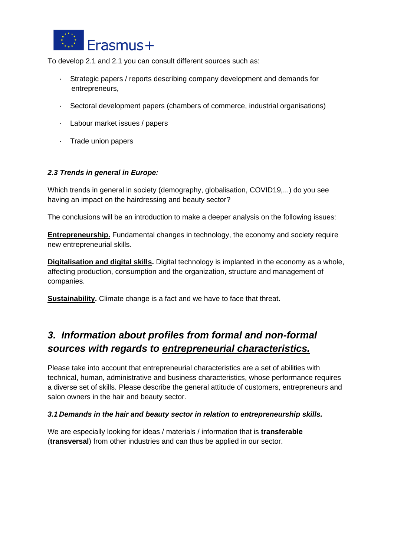

To develop 2.1 and 2.1 you can consult different sources such as:

- · Strategic papers / reports describing company development and demands for entrepreneurs,
- · Sectoral development papers (chambers of commerce, industrial organisations)
- · Labour market issues / papers
- · Trade union papers

#### *2.3 Trends in general in Europe:*

Which trends in general in society (demography, globalisation, COVID19,...) do you see having an impact on the hairdressing and beauty sector?

The conclusions will be an introduction to make a deeper analysis on the following issues:

**Entrepreneurship.** Fundamental changes in technology, the economy and society require new entrepreneurial skills.

**Digitalisation and digital skills.** Digital technology is implanted in the economy as a whole, affecting production, consumption and the organization, structure and management of companies.

**Sustainability.** Climate change is a fact and we have to face that threat**.**

# *3. Information about profiles from formal and non-formal sources with regards to entrepreneurial characteristics.*

Please take into account that entrepreneurial characteristics are a set of abilities with technical, human, administrative and business characteristics, whose performance requires a diverse set of skills. Please describe the general attitude of customers, entrepreneurs and salon owners in the hair and beauty sector.

#### *3.1 Demands in the hair and beauty sector in relation to entrepreneurship skills.*

We are especially looking for ideas / materials / information that is **transferable** (**transversal**) from other industries and can thus be applied in our sector.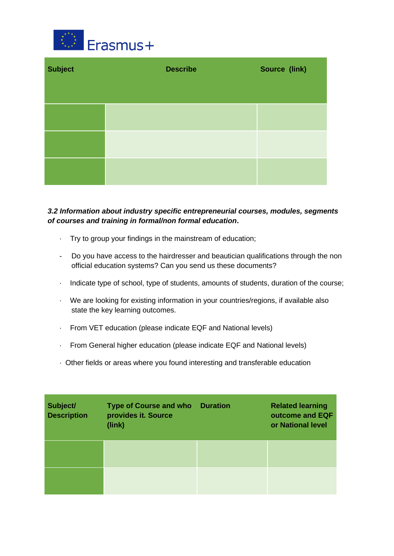

| <b>Subject</b> | <b>Describe</b> | Source (link) |
|----------------|-----------------|---------------|
|                |                 |               |
|                |                 |               |
|                |                 |               |

### *3.2 Information about industry specific entrepreneurial courses, modules, segments of courses and training in formal/non formal education***.**

- · Try to group your findings in the mainstream of education;
- Do you have access to the hairdresser and beautician qualifications through the non official education systems? Can you send us these documents?
- · Indicate type of school, type of students, amounts of students, duration of the course;
- · We are looking for existing information in your countries/regions, if available also state the key learning outcomes.
- · From VET education (please indicate EQF and National levels)
- · From General higher education (please indicate EQF and National levels)
- · Other fields or areas where you found interesting and transferable education

| Subject/<br><b>Description</b> | <b>Type of Course and who</b><br>provides it. Source<br>(link) | <b>Duration</b> | <b>Related learning</b><br>outcome and EQF<br>or National level |
|--------------------------------|----------------------------------------------------------------|-----------------|-----------------------------------------------------------------|
|                                |                                                                |                 |                                                                 |
|                                |                                                                |                 |                                                                 |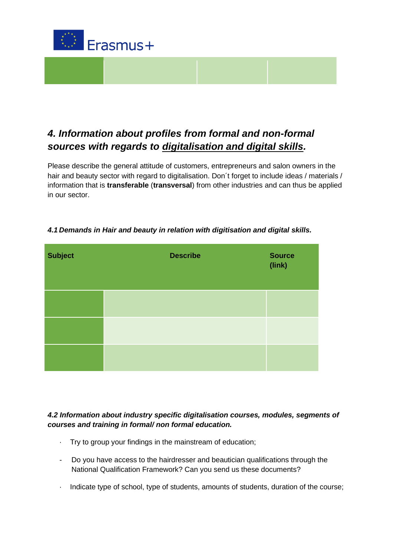

# *4. Information about profiles from formal and non-formal sources with regards to digitalisation and digital skills.*

Please describe the general attitude of customers, entrepreneurs and salon owners in the hair and beauty sector with regard to digitalisation. Don't forget to include ideas / materials / information that is **transferable** (**transversal**) from other industries and can thus be applied in our sector.

| <b>Subject</b> | <b>Describe</b> | <b>Source</b><br>(link) |
|----------------|-----------------|-------------------------|
|                |                 |                         |
|                |                 |                         |
|                |                 |                         |

## *4.1 Demands in Hair and beauty in relation with digitisation and digital skills.*

#### *4.2 Information about industry specific digitalisation courses, modules, segments of courses and training in formal/ non formal education.*

- · Try to group your findings in the mainstream of education;
- Do you have access to the hairdresser and beautician qualifications through the National Qualification Framework? Can you send us these documents?
- · Indicate type of school, type of students, amounts of students, duration of the course;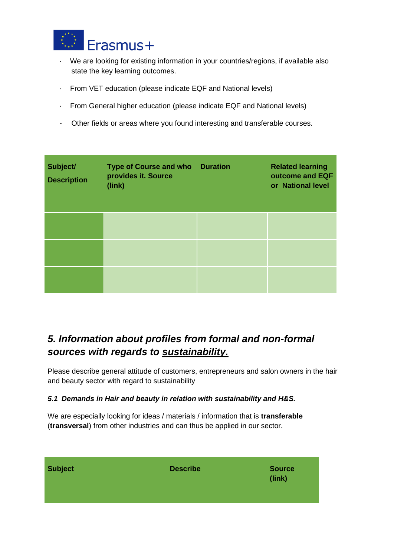

- · We are looking for existing information in your countries/regions, if available also state the key learning outcomes.
- · From VET education (please indicate EQF and National levels)
- · From General higher education (please indicate EQF and National levels)
- Other fields or areas where you found interesting and transferable courses.

| Subject/<br><b>Description</b> | <b>Type of Course and who Duration</b><br>provides it. Source<br>(link) | <b>Related learning</b><br>outcome and EQF<br>or National level |
|--------------------------------|-------------------------------------------------------------------------|-----------------------------------------------------------------|
|                                |                                                                         |                                                                 |
|                                |                                                                         |                                                                 |
|                                |                                                                         |                                                                 |

# *5. Information about profiles from formal and non-formal sources with regards to sustainability.*

Please describe general attitude of customers, entrepreneurs and salon owners in the hair and beauty sector with regard to sustainability

#### *5.1 Demands in Hair and beauty in relation with sustainability and H&S.*

We are especially looking for ideas / materials / information that is **transferable** (**transversal**) from other industries and can thus be applied in our sector.

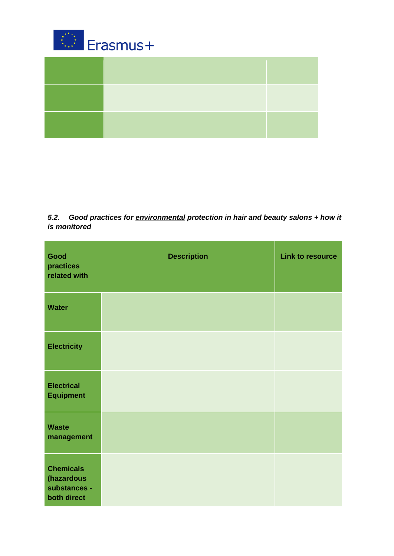

*5.2. Good practices for environmental protection in hair and beauty salons + how it is monitored*

| Good<br>practices<br>related with                             | <b>Description</b> | <b>Link to resource</b> |
|---------------------------------------------------------------|--------------------|-------------------------|
| <b>Water</b>                                                  |                    |                         |
| <b>Electricity</b>                                            |                    |                         |
| <b>Electrical</b><br><b>Equipment</b>                         |                    |                         |
| <b>Waste</b><br>management                                    |                    |                         |
| <b>Chemicals</b><br>(hazardous<br>substances -<br>both direct |                    |                         |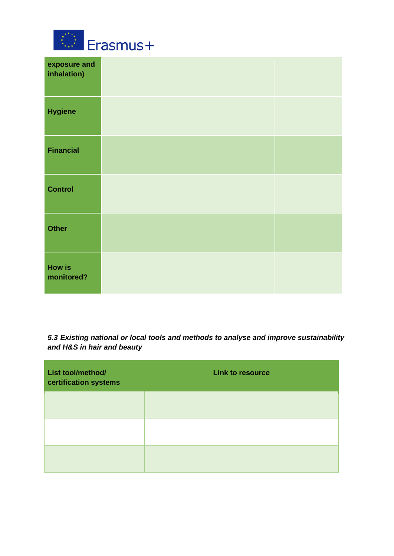

| exposure and<br>inhalation) |  |
|-----------------------------|--|
| <b>Hygiene</b>              |  |
| <b>Financial</b>            |  |
| <b>Control</b>              |  |
| <b>Other</b>                |  |
| How is<br>monitored?        |  |

*5.3 Existing national or local tools and methods to analyse and improve sustainability and H&S in hair and beauty*

| List tool/method/<br>certification systems | <b>Link to resource</b> |
|--------------------------------------------|-------------------------|
|                                            |                         |
|                                            |                         |
|                                            |                         |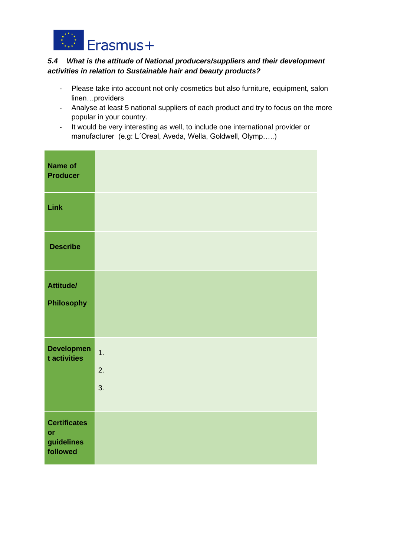

#### *5.4 What is the attitude of National producers/suppliers and their development activities in relation to Sustainable hair and beauty products?*

- Please take into account not only cosmetics but also furniture, equipment, salon linen…providers
- Analyse at least 5 national suppliers of each product and try to focus on the more popular in your country.
- It would be very interesting as well, to include one international provider or manufacturer (e.g: L´Oreal, Aveda, Wella, Goldwell, Olymp…..)

| <b>Name of</b><br><b>Producer</b>                   |                |
|-----------------------------------------------------|----------------|
| Link                                                |                |
| <b>Describe</b>                                     |                |
| <b>Attitude/</b><br>Philosophy                      |                |
| <b>Developmen</b><br>t activities                   | 1.<br>2.<br>3. |
| <b>Certificates</b><br>or<br>guidelines<br>followed |                |